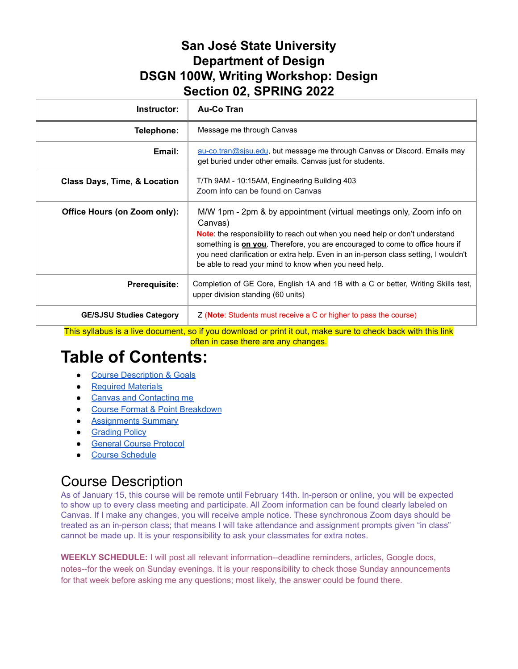## **San José State University Department of Design DSGN 100W, Writing Workshop: Design Section 02, SPRING 2022**

| Instructor:                     | <b>Au-Co Tran</b>                                                                                                                                                                                                                                                                                                                                                                                               |
|---------------------------------|-----------------------------------------------------------------------------------------------------------------------------------------------------------------------------------------------------------------------------------------------------------------------------------------------------------------------------------------------------------------------------------------------------------------|
| Telephone:                      | Message me through Canvas                                                                                                                                                                                                                                                                                                                                                                                       |
| Email:                          | au-co.tran@sisu.edu, but message me through Canvas or Discord. Emails may<br>get buried under other emails. Canvas just for students.                                                                                                                                                                                                                                                                           |
| Class Days, Time, & Location    | T/Th 9AM - 10:15AM, Engineering Building 403<br>Zoom info can be found on Canvas                                                                                                                                                                                                                                                                                                                                |
| Office Hours (on Zoom only):    | M/W 1pm - 2pm & by appointment (virtual meetings only, Zoom info on<br>Canvas)<br><b>Note:</b> the responsibility to reach out when you need help or don't understand<br>something is <b>on you</b> . Therefore, you are encouraged to come to office hours if<br>you need clarification or extra help. Even in an in-person class setting, I wouldn't<br>be able to read your mind to know when you need help. |
| <b>Prerequisite:</b>            | Completion of GE Core, English 1A and 1B with a C or better, Writing Skills test,<br>upper division standing (60 units)                                                                                                                                                                                                                                                                                         |
| <b>GE/SJSU Studies Category</b> | Z ( <b>Note</b> : Students must receive a C or higher to pass the course)                                                                                                                                                                                                                                                                                                                                       |

This syllabus is a live document, so if you download or print it out, make sure to check back with this link often in case there are any changes.

# **Table of Contents:**

- Course [Description](#page-0-0) & Goals
- [Required](#page-1-0) Materials
- Canvas and [Contacting](#page-2-0) me
- Course Format & Point [Breakdown](#page-2-1)
- [Assignments](#page-2-2) Summary
- [Grading](#page-4-0) Policy
- General Course [Protocol](#page-5-0)
- Course [Schedule](#page-6-0)

# Course Description

As of January 15, this course will be remote until February 14th. In-person or online, you will be expected to show up to every class meeting and participate. All Zoom information can be found clearly labeled on Canvas. If I make any changes, you will receive ample notice. These synchronous Zoom days should be treated as an in-person class; that means I will take attendance and assignment prompts given "in class" cannot be made up. It is your responsibility to ask your classmates for extra notes.

<span id="page-0-0"></span>**WEEKLY SCHEDULE:** I will post all relevant information--deadline reminders, articles, Google docs, notes--for the week on Sunday evenings. It is your responsibility to check those Sunday announcements for that week before asking me any questions; most likely, the answer could be found there.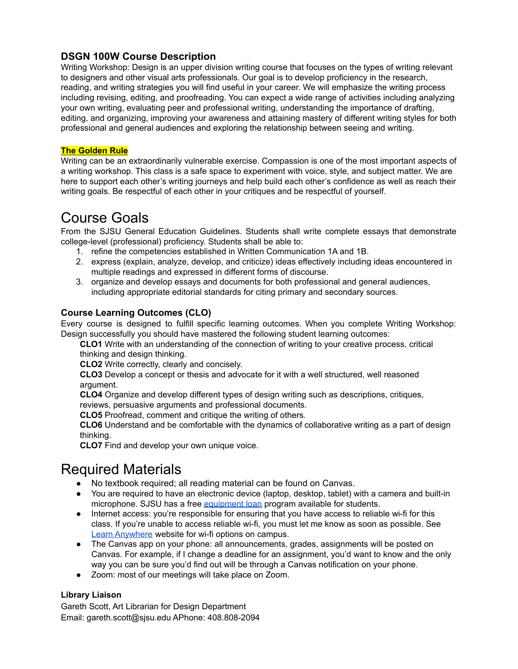## **DSGN 100W Course Description**

Writing Workshop: Design is an upper division writing course that focuses on the types of writing relevant to designers and other visual arts professionals. Our goal is to develop proficiency in the research, reading, and writing strategies you will find useful in your career. We will emphasize the writing process including revising, editing, and proofreading. You can expect a wide range of activities including analyzing your own writing, evaluating peer and professional writing, understanding the importance of drafting, editing, and organizing, improving your awareness and attaining mastery of different writing styles for both professional and general audiences and exploring the relationship between seeing and writing.

#### **The Golden Rule**

Writing can be an extraordinarily vulnerable exercise. Compassion is one of the most important aspects of a writing workshop. This class is a safe space to experiment with voice, style, and subject matter. We are here to support each other's writing journeys and help build each other's confidence as well as reach their writing goals. Be respectful of each other in your critiques and be respectful of yourself.

## Course Goals

From the SJSU General Education Guidelines. Students shall write complete essays that demonstrate college-level (professional) proficiency. Students shall be able to:

- 1. refine the competencies established in Written Communication 1A and 1B.
- 2. express (explain, analyze, develop, and criticize) ideas effectively including ideas encountered in multiple readings and expressed in different forms of discourse.
- 3. organize and develop essays and documents for both professional and general audiences, including appropriate editorial standards for citing primary and secondary sources.

#### **Course Learning Outcomes (CLO)**

Every course is designed to fulfill specific learning outcomes. When you complete Writing Workshop: Design successfully you should have mastered the following student learning outcomes:

**CLO1** Write with an understanding of the connection of writing to your creative process, critical thinking and design thinking.

**CLO2** Write correctly, clearly and concisely.

**CLO3** Develop a concept or thesis and advocate for it with a well structured, well reasoned argument.

**CLO4** Organize and develop different types of design writing such as descriptions, critiques, reviews, persuasive arguments and professional documents.

**CLO5** Proofread, comment and critique the writing of others.

**CLO6** Understand and be comfortable with the dynamics of collaborative writing as a part of design thinking.

**CLO7** Find and develop your own unique voice.

## <span id="page-1-0"></span>Required Materials

- No textbook required; all reading material can be found on Canvas.
- You are required to have an electronic device (laptop, desktop, tablet) with a camera and built-in microphone. SJSU has a free [equipment](https://www.sjsu.edu/learnanywhere/equipment/index.php) loan program available for students.
- Internet access: you're responsible for ensuring that you have access to reliable wi-fi for this class. If you're unable to access reliable wi-fi, you must let me know as soon as possible. See Learn [Anywhere](https://www.sjsu.edu/learnanywhere/equipment/index.php) website for wi-fi options on campus.
- The Canvas app on your phone: all announcements, grades, assignments will be posted on Canvas. For example, if I change a deadline for an assignment, you'd want to know and the only way you can be sure you'd find out will be through a Canvas notification on your phone.
- Zoom: most of our meetings will take place on Zoom.

#### **Library Liaison**

Gareth Scott, Art Librarian for Design Department Email: gareth.scott@sjsu.edu APhone: 408.808-2094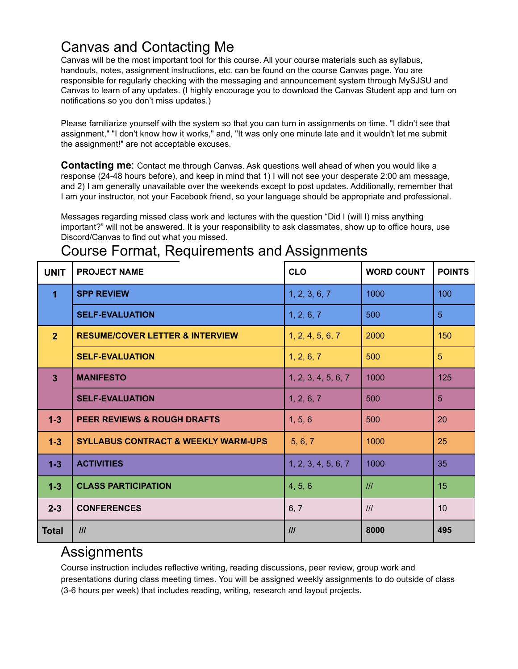# Canvas and Contacting Me

Canvas will be the most important tool for this course. All your course materials such as syllabus, handouts, notes, assignment instructions, etc. can be found on the course Canvas page. You are responsible for regularly checking with the messaging and announcement system through MySJSU and Canvas to learn of any updates. (I highly encourage you to download the Canvas Student app and turn on notifications so you don't miss updates.)

<span id="page-2-0"></span>Please familiarize yourself with the system so that you can turn in assignments on time. "I didn't see that assignment," "I don't know how it works," and, "It was only one minute late and it wouldn't let me submit the assignment!" are not acceptable excuses.

**Contacting me**: Contact me through Canvas. Ask questions well ahead of when you would like a response (24-48 hours before), and keep in mind that 1) I will not see your desperate 2:00 am message, and 2) I am generally unavailable over the weekends except to post updates. Additionally, remember that I am your instructor, not your Facebook friend, so your language should be appropriate and professional.

Messages regarding missed class work and lectures with the question "Did I (will I) miss anything important?" will not be answered. It is your responsibility to ask classmates, show up to office hours, use Discord/Canvas to find out what you missed.

## <span id="page-2-1"></span>Course Format, Requirements and Assignments

| <b>UNIT</b>          | <b>PROJECT NAME</b>                            | <b>CLO</b>          | <b>WORD COUNT</b> | <b>POINTS</b>   |
|----------------------|------------------------------------------------|---------------------|-------------------|-----------------|
| $\blacktriangleleft$ | <b>SPP REVIEW</b>                              | 1, 2, 3, 6, 7       | 1000              | 100             |
|                      | <b>SELF-EVALUATION</b>                         | 1, 2, 6, 7          | 500               | $\overline{5}$  |
| 2 <sup>1</sup>       | <b>RESUME/COVER LETTER &amp; INTERVIEW</b>     | 1, 2, 4, 5, 6, 7    | 2000              | 150             |
|                      | <b>SELF-EVALUATION</b>                         | 1, 2, 6, 7          | 500               | $5\phantom{.0}$ |
| $\overline{3}$       | <b>MANIFESTO</b>                               | 1, 2, 3, 4, 5, 6, 7 | 1000              | 125             |
|                      | <b>SELF-EVALUATION</b>                         | 1, 2, 6, 7          | 500               | $5\overline{5}$ |
| $1-3$                | <b>PEER REVIEWS &amp; ROUGH DRAFTS</b>         | 1, 5, 6             | 500               | 20              |
| $1-3$                | <b>SYLLABUS CONTRACT &amp; WEEKLY WARM-UPS</b> | 5, 6, 7             | 1000              | 25              |
| $1-3$                | <b>ACTIVITIES</b>                              | 1, 2, 3, 4, 5, 6, 7 | 1000              | 35              |
| $1-3$                | <b>CLASS PARTICIPATION</b>                     | 4, 5, 6             | III               | 15              |
| $2 - 3$              | <b>CONFERENCES</b>                             | 6, 7                | III               | 10              |
| <b>Total</b>         | III                                            | III                 | 8000              | 495             |

## <span id="page-2-2"></span>**Assignments**

Course instruction includes reflective writing, reading discussions, peer review, group work and presentations during class meeting times. You will be assigned weekly assignments to do outside of class (3-6 hours per week) that includes reading, writing, research and layout projects.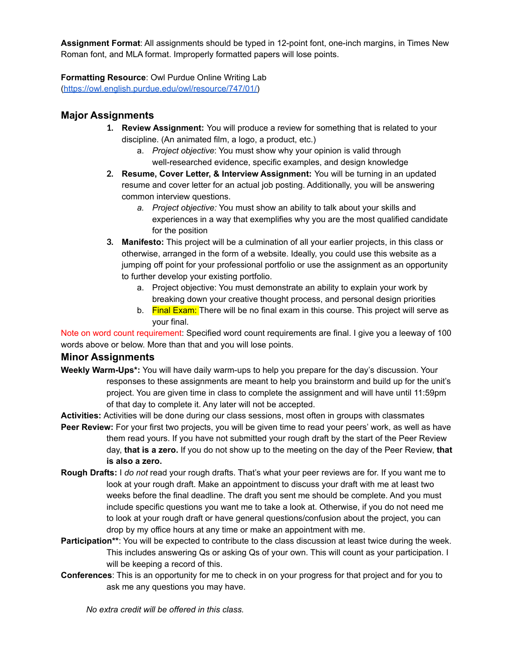**Assignment Format**: All assignments should be typed in 12-point font, one-inch margins, in Times New Roman font, and MLA format. Improperly formatted papers will lose points.

**Formatting Resource**: Owl Purdue Online Writing Lab

[\(https://owl.english.purdue.edu/owl/resource/747/01/\)](https://owl.english.purdue.edu/owl/resource/747/01/)

## **Major Assignments**

- **1. Review Assignment:** You will produce a review for something that is related to your discipline. (An animated film, a logo, a product, etc.)
	- a. *Project objective*: You must show why your opinion is valid through well-researched evidence, specific examples, and design knowledge
- **2. Resume, Cover Letter, & Interview Assignment:** You will be turning in an updated resume and cover letter for an actual job posting. Additionally, you will be answering common interview questions.
	- *a. Project objective:* You must show an ability to talk about your skills and experiences in a way that exemplifies why you are the most qualified candidate for the position
- **3. Manifesto:** This project will be a culmination of all your earlier projects, in this class or otherwise, arranged in the form of a website. Ideally, you could use this website as a jumping off point for your professional portfolio or use the assignment as an opportunity to further develop your existing portfolio.
	- a. Project objective: You must demonstrate an ability to explain your work by breaking down your creative thought process, and personal design priorities
	- b. Final Exam: There will be no final exam in this course. This project will serve as your final.

Note on word count requirement: Specified word count requirements are final. I give you a leeway of 100 words above or below. More than that and you will lose points.

#### **Minor Assignments**

**Weekly Warm-Ups\*:** You will have daily warm-ups to help you prepare for the day's discussion. Your responses to these assignments are meant to help you brainstorm and build up for the unit's project. You are given time in class to complete the assignment and will have until 11:59pm of that day to complete it. Any later will not be accepted.

**Activities:** Activities will be done during our class sessions, most often in groups with classmates **Peer Review:** For your first two projects, you will be given time to read your peers' work, as well as have them read yours. If you have not submitted your rough draft by the start of the Peer Review day, **that is a zero.** If you do not show up to the meeting on the day of the Peer Review, **that is also a zero.**

- **Rough Drafts:** I *do not* read your rough drafts. That's what your peer reviews are for. If you want me to look at your rough draft. Make an appointment to discuss your draft with me at least two weeks before the final deadline. The draft you sent me should be complete. And you must include specific questions you want me to take a look at. Otherwise, if you do not need me to look at your rough draft or have general questions/confusion about the project, you can drop by my office hours at any time or make an appointment with me.
- **Participation\*\*:** You will be expected to contribute to the class discussion at least twice during the week. This includes answering Qs or asking Qs of your own. This will count as your participation. I will be keeping a record of this.
- **Conferences**: This is an opportunity for me to check in on your progress for that project and for you to ask me any questions you may have.

*No extra credit will be offered in this class.*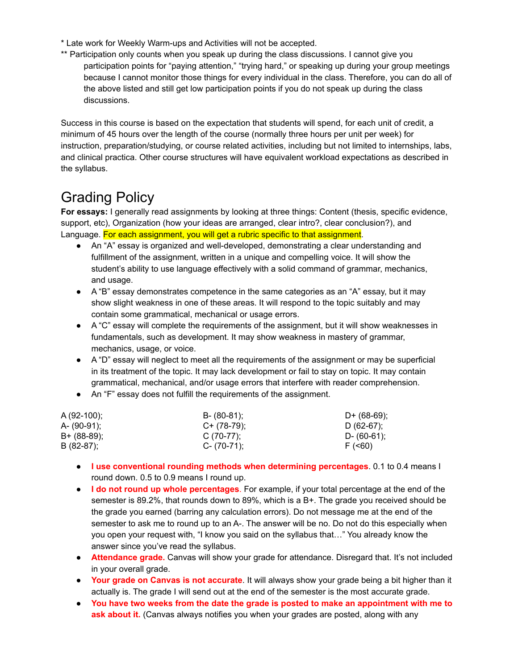- \* Late work for Weekly Warm-ups and Activities will not be accepted.
- \*\* Participation only counts when you speak up during the class discussions. I cannot give you participation points for "paying attention," "trying hard," or speaking up during your group meetings because I cannot monitor those things for every individual in the class. Therefore, you can do all of the above listed and still get low participation points if you do not speak up during the class discussions.

Success in this course is based on the expectation that students will spend, for each unit of credit, a minimum of 45 hours over the length of the course (normally three hours per unit per week) for instruction, preparation/studying, or course related activities, including but not limited to internships, labs, and clinical practica. Other course structures will have equivalent workload expectations as described in the syllabus.

# <span id="page-4-0"></span>Grading Policy

**For essays:** I generally read assignments by looking at three things: Content (thesis, specific evidence, support, etc), Organization (how your ideas are arranged, clear intro?, clear conclusion?), and Language. For each assignment, you will get a rubric specific to that assignment.

- An "A" essay is organized and well-developed, demonstrating a clear understanding and fulfillment of the assignment, written in a unique and compelling voice. It will show the student's ability to use language effectively with a solid command of grammar, mechanics, and usage.
- A "B" essay demonstrates competence in the same categories as an "A" essay, but it may show slight weakness in one of these areas. It will respond to the topic suitably and may contain some grammatical, mechanical or usage errors.
- A "C" essay will complete the requirements of the assignment, but it will show weaknesses in fundamentals, such as development. It may show weakness in mastery of grammar, mechanics, usage, or voice.
- A "D" essay will neglect to meet all the requirements of the assignment or may be superficial in its treatment of the topic. It may lack development or fail to stay on topic. It may contain grammatical, mechanical, and/or usage errors that interfere with reader comprehension.
- An "F" essay does not fulfill the requirements of the assignment.

| $A(92-100);$ | $B - (80-81)$ ; | D+ $(68-69)$ ; |
|--------------|-----------------|----------------|
| A- (90-91);  | $C+ (78-79)$ ;  | D $(62-67)$ ;  |
| B+ (88-89);  | $C(70-77)$ ;    | D- (60-61);    |
| $B(82-87)$ ; | $C - (70-71)$ ; | F (560)        |

- **I use conventional rounding methods when determining percentages**. 0.1 to 0.4 means I round down. 0.5 to 0.9 means I round up.
- **I do not round up whole percentages**. For example, if your total percentage at the end of the semester is 89.2%, that rounds down to 89%, which is a B+. The grade you received should be the grade you earned (barring any calculation errors). Do not message me at the end of the semester to ask me to round up to an A-. The answer will be no. Do not do this especially when you open your request with, "I know you said on the syllabus that…" You already know the answer since you've read the syllabus.
- **Attendance grade.** Canvas will show your grade for attendance. Disregard that. It's not included in your overall grade.
- **Your grade on Canvas is not accurate**. It will always show your grade being a bit higher than it actually is. The grade I will send out at the end of the semester is the most accurate grade.
- **You have two weeks from the date the grade is posted to make an appointment with me to ask about it.** (Canvas always notifies you when your grades are posted, along with any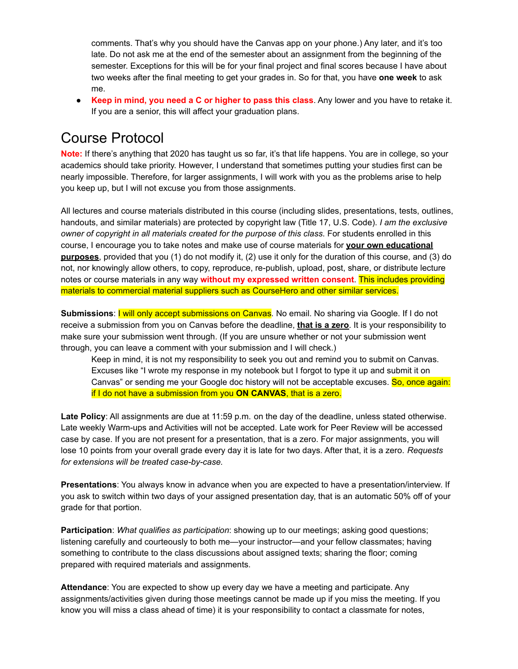comments. That's why you should have the Canvas app on your phone.) Any later, and it's too late. Do not ask me at the end of the semester about an assignment from the beginning of the semester. Exceptions for this will be for your final project and final scores because I have about two weeks after the final meeting to get your grades in. So for that, you have **one week** to ask me.

● **Keep in mind, you need a C or higher to pass this class**. Any lower and you have to retake it. If you are a senior, this will affect your graduation plans.

## <span id="page-5-0"></span>Course Protocol

**Note:** If there's anything that 2020 has taught us so far, it's that life happens. You are in college, so your academics should take priority. However, I understand that sometimes putting your studies first can be nearly impossible. Therefore, for larger assignments, I will work with you as the problems arise to help you keep up, but I will not excuse you from those assignments.

All lectures and course materials distributed in this course (including slides, presentations, tests, outlines, handouts, and similar materials) are protected by copyright law (Title 17, U.S. Code). *I am the exclusive owner of copyright in all materials created for the purpose of this class*. For students enrolled in this course, I encourage you to take notes and make use of course materials for **your own educational purposes**, provided that you (1) do not modify it, (2) use it only for the duration of this course, and (3) do not, nor knowingly allow others, to copy, reproduce, re-publish, upload, post, share, or distribute lecture notes or course materials in any way **without my expressed written consent**. This includes providing materials to commercial material suppliers such as CourseHero and other similar services.

**Submissions**: I will only accept submissions on Canvas. No email. No sharing via Google. If I do not receive a submission from you on Canvas before the deadline, **that is a zero**. It is your responsibility to make sure your submission went through. (If you are unsure whether or not your submission went through, you can leave a comment with your submission and I will check.)

Keep in mind, it is not my responsibility to seek you out and remind you to submit on Canvas. Excuses like "I wrote my response in my notebook but I forgot to type it up and submit it on Canvas" or sending me your Google doc history will not be acceptable excuses. So, once again: if I do not have a submission from you **ON CANVAS**, that is a zero.

**Late Policy**: All assignments are due at 11:59 p.m. on the day of the deadline, unless stated otherwise. Late weekly Warm-ups and Activities will not be accepted. Late work for Peer Review will be accessed case by case. If you are not present for a presentation, that is a zero. For major assignments, you will lose 10 points from your overall grade every day it is late for two days. After that, it is a zero. *Requests for extensions will be treated case-by-case.*

**Presentations**: You always know in advance when you are expected to have a presentation/interview. If you ask to switch within two days of your assigned presentation day, that is an automatic 50% off of your grade for that portion.

**Participation**: *What qualifies as participation*: showing up to our meetings; asking good questions; listening carefully and courteously to both me—your instructor—and your fellow classmates; having something to contribute to the class discussions about assigned texts; sharing the floor; coming prepared with required materials and assignments.

**Attendance**: You are expected to show up every day we have a meeting and participate. Any assignments/activities given during those meetings cannot be made up if you miss the meeting. If you know you will miss a class ahead of time) it is your responsibility to contact a classmate for notes,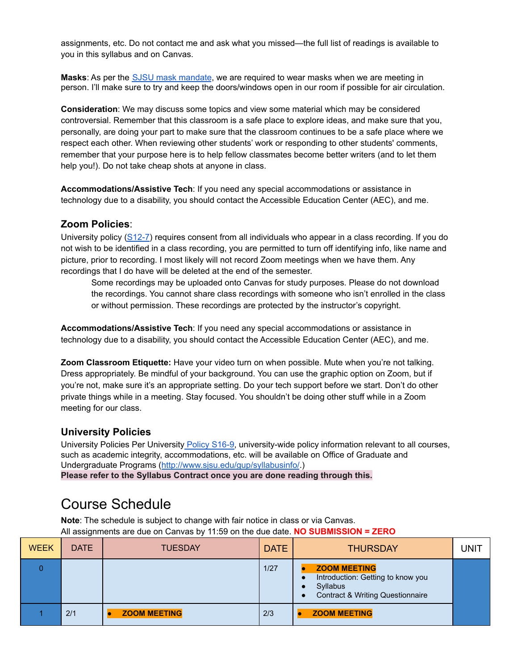assignments, etc. Do not contact me and ask what you missed—the full list of readings is available to you in this syllabus and on Canvas.

**Masks**: As per the SJSU mask [mandate](https://www.sjsu.edu/healthadvisories/sjsu-adapt/plan/index.php#:~:text=Face%20coverings%20or%20masks%20must,of%20physical%20distance%20from%20others.), we are required to wear masks when we are meeting in person. I'll make sure to try and keep the doors/windows open in our room if possible for air circulation.

**Consideration**: We may discuss some topics and view some material which may be considered controversial. Remember that this classroom is a safe place to explore ideas, and make sure that you, personally, are doing your part to make sure that the classroom continues to be a safe place where we respect each other. When reviewing other students' work or responding to other students' comments, remember that your purpose here is to help fellow classmates become better writers (and to let them help you!). Do not take cheap shots at anyone in class.

**Accommodations/Assistive Tech**: If you need any special accommodations or assistance in technology due to a disability, you should contact the Accessible Education Center (AEC), and me.

#### **Zoom Policies**:

University policy  $(S12-7)$  requires consent from all individuals who appear in a class recording. If you do not wish to be identified in a class recording, you are permitted to turn off identifying info, like name and picture, prior to recording. I most likely will not record Zoom meetings when we have them. Any recordings that I do have will be deleted at the end of the semester.

Some recordings may be uploaded onto Canvas for study purposes. Please do not download the recordings. You cannot share class recordings with someone who isn't enrolled in the class or without permission. These recordings are protected by the instructor's copyright.

**Accommodations/Assistive Tech**: If you need any special accommodations or assistance in technology due to a disability, you should contact the Accessible Education Center (AEC), and me.

**Zoom Classroom Etiquette:** Have your video turn on when possible. Mute when you're not talking. Dress appropriately. Be mindful of your background. You can use the graphic option on Zoom, but if you're not, make sure it's an appropriate setting. Do your tech support before we start. Don't do other private things while in a meeting. Stay focused. You shouldn't be doing other stuff while in a Zoom meeting for our class.

#### **University Policies**

University Policies Per University Policy [S16-9,](https://www.sjsu.edu/senate/docs/S16-9.pdf) university-wide policy information relevant to all courses, such as academic integrity, accommodations, etc. will be available on Office of Graduate and Undergraduate Programs (<http://www.sjsu.edu/gup/syllabusinfo/>.) **Please refer to the Syllabus Contract once you are done reading through this.**

## <span id="page-6-0"></span>Course Schedule

**Note**: The schedule is subject to change with fair notice in class or via Canvas. All assignments are due on Canvas by 11:59 on the due date. **NO SUBMISSION = ZERO**

| <b>WEEK</b> | <b>DATE</b> | <b>TUESDAY</b>      | <b>DATE</b> | <b>THURSDAY</b>                                                                                          | <b>UNIT</b> |
|-------------|-------------|---------------------|-------------|----------------------------------------------------------------------------------------------------------|-------------|
|             |             |                     | 1/27        | <b>ZOOM MEETING</b><br>Introduction: Getting to know you<br>Syllabus<br>Contract & Writing Questionnaire |             |
|             | 2/1         | <b>ZOOM MEETING</b> | 2/3         | <b>ZOOM MEETING</b>                                                                                      |             |